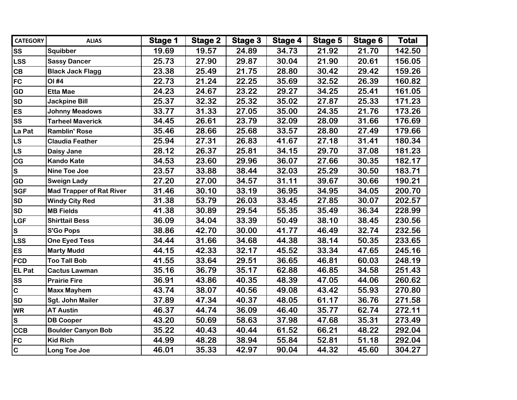| <b>CATEGORY</b> | <b>ALIAS</b>                    | Stage 1 | <b>Stage 2</b> | <b>Stage 3</b> | Stage 4 | Stage 5 | Stage 6 | Total  |
|-----------------|---------------------------------|---------|----------------|----------------|---------|---------|---------|--------|
| <b>SS</b>       | Squibber                        | 19.69   | 19.57          | 24.89          | 34.73   | 21.92   | 21.70   | 142.50 |
| <b>LSS</b>      | <b>Sassy Dancer</b>             | 25.73   | 27.90          | 29.87          | 30.04   | 21.90   | 20.61   | 156.05 |
| <b>CB</b>       | <b>Black Jack Flagg</b>         | 23.38   | 25.49          | 21.75          | 28.80   | 30.42   | 29.42   | 159.26 |
| <b>FC</b>       | OI #4                           | 22.73   | 21.24          | 22.25          | 35.69   | 32.52   | 26.39   | 160.82 |
| GD              | <b>Etta Mae</b>                 | 24.23   | 24.67          | 23.22          | 29.27   | 34.25   | 25.41   | 161.05 |
| <b>SD</b>       | <b>Jackpine Bill</b>            | 25.37   | 32.32          | 25.32          | 35.02   | 27.87   | 25.33   | 171.23 |
| <b>ES</b>       | <b>Johnny Meadows</b>           | 33.77   | 31.33          | 27.05          | 35.00   | 24.35   | 21.76   | 173.26 |
| <b>SS</b>       | <b>Tarheel Maverick</b>         | 34.45   | 26.61          | 23.79          | 32.09   | 28.09   | 31.66   | 176.69 |
| La Pat          | <b>Ramblin' Rose</b>            | 35.46   | 28.66          | 25.68          | 33.57   | 28.80   | 27.49   | 179.66 |
| <b>LS</b>       | <b>Claudia Feather</b>          | 25.94   | 27.31          | 26.83          | 41.67   | 27.18   | 31.41   | 180.34 |
| <b>LS</b>       | Daisy Jane                      | 28.12   | 26.37          | 25.81          | 34.15   | 29.70   | 37.08   | 181.23 |
| <b>CG</b>       | <b>Kando Kate</b>               | 34.53   | 23.60          | 29.96          | 36.07   | 27.66   | 30.35   | 182.17 |
| $\mathbf{s}$    | Nine Toe Joe                    | 23.57   | 33.88          | 38.44          | 32.03   | 25.29   | 30.50   | 183.71 |
| <b>GD</b>       | <b>Sweign Lady</b>              | 27.20   | 27.00          | 34.57          | 31.11   | 39.67   | 30.66   | 190.21 |
| <b>SGF</b>      | <b>Mad Trapper of Rat River</b> | 31.46   | 30.10          | 33.19          | 36.95   | 34.95   | 34.05   | 200.70 |
| <b>SD</b>       | <b>Windy City Red</b>           | 31.38   | 53.79          | 26.03          | 33.45   | 27.85   | 30.07   | 202.57 |
| <b>SD</b>       | <b>MB Fields</b>                | 41.38   | 30.89          | 29.54          | 55.35   | 35.49   | 36.34   | 228.99 |
| <b>LGF</b>      | <b>Shirttail Bess</b>           | 36.09   | 34.04          | 33.39          | 50.49   | 38.10   | 38.45   | 230.56 |
| $\mathbf{s}$    | <b>S'Go Pops</b>                | 38.86   | 42.70          | 30.00          | 41.77   | 46.49   | 32.74   | 232.56 |
| <b>LSS</b>      | <b>One Eyed Tess</b>            | 34.44   | 31.66          | 34.68          | 44.38   | 38.14   | 50.35   | 233.65 |
| <b>ES</b>       | <b>Marty Mudd</b>               | 44.15   | 42.33          | 32.17          | 45.52   | 33.34   | 47.65   | 245.16 |
| FCD             | <b>Too Tall Bob</b>             | 41.55   | 33.64          | 29.51          | 36.65   | 46.81   | 60.03   | 248.19 |
| <b>EL Pat</b>   | <b>Cactus Lawman</b>            | 35.16   | 36.79          | 35.17          | 62.88   | 46.85   | 34.58   | 251.43 |
| <b>SS</b>       | <b>Prairie Fire</b>             | 36.91   | 43.86          | 40.35          | 48.39   | 47.05   | 44.06   | 260.62 |
| $\overline{c}$  | <b>Maxx Mayhem</b>              | 43.74   | 38.07          | 40.56          | 49.08   | 43.42   | 55.93   | 270.80 |
| <b>SD</b>       | <b>Sgt. John Mailer</b>         | 37.89   | 47.34          | 40.37          | 48.05   | 61.17   | 36.76   | 271.58 |
| <b>WR</b>       | <b>AT Austin</b>                | 46.37   | 44.74          | 36.09          | 46.40   | 35.77   | 62.74   | 272.11 |
| $\mathbf{s}$    | <b>DB Cooper</b>                | 43.20   | 50.69          | 58.63          | 37.98   | 47.68   | 35.31   | 273.49 |
| <b>CCB</b>      | <b>Boulder Canyon Bob</b>       | 35.22   | 40.43          | 40.44          | 61.52   | 66.21   | 48.22   | 292.04 |
| <b>FC</b>       | <b>Kid Rich</b>                 | 44.99   | 48.28          | 38.94          | 55.84   | 52.81   | 51.18   | 292.04 |
| $\overline{c}$  | Long Toe Joe                    | 46.01   | 35.33          | 42.97          | 90.04   | 44.32   | 45.60   | 304.27 |